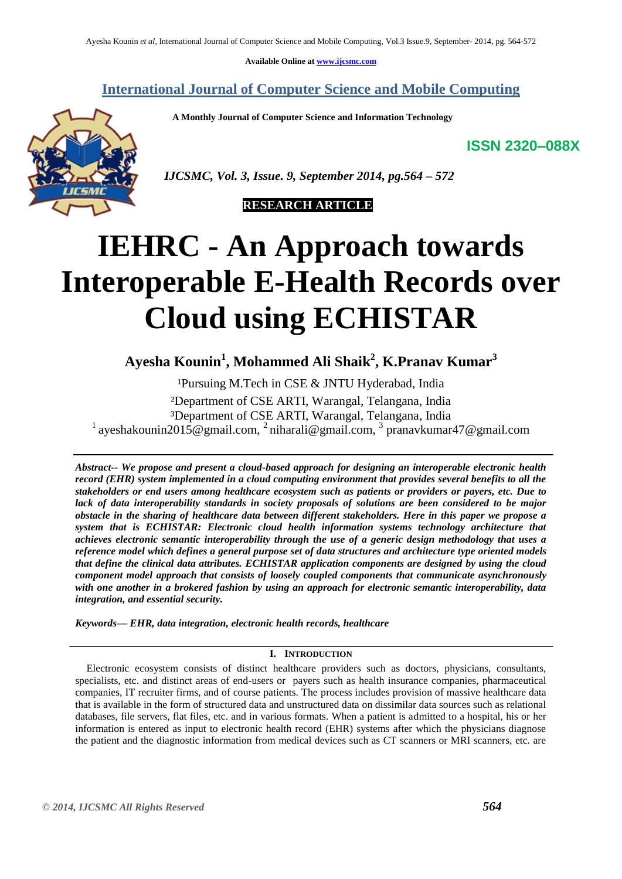**Available Online at [www.ijcsmc.com](http://www.ijcsmc.com/)**

**International Journal of Computer Science and Mobile Computing**

 **A Monthly Journal of Computer Science and Information Technology**

**ISSN 2320–088X**



 *IJCSMC, Vol. 3, Issue. 9, September 2014, pg.564 – 572*



# **IEHRC - An Approach towards Interoperable E-Health Records over Cloud using ECHISTAR**

**Ayesha Kounin<sup>1</sup> , Mohammed Ali Shaik<sup>2</sup> , K.Pranav Kumar<sup>3</sup>**

<sup>1</sup>Pursuing M.Tech in CSE & JNTU Hyderabad, India

²Department of CSE ARTI, Warangal, Telangana, India ³Department of CSE ARTI, Warangal, Telangana, India <sup>1</sup> ayeshakounin2015@gmail.com, <sup>2</sup> niharali@gmail.com, <sup>3</sup> pranavkumar47@gmail.com

*Abstract-- We propose and present a cloud-based approach for designing an interoperable electronic health record (EHR) system implemented in a cloud computing environment that provides several benefits to all the stakeholders or end users among healthcare ecosystem such as patients or providers or payers, etc. Due to lack of data interoperability standards in society proposals of solutions are been considered to be major obstacle in the sharing of healthcare data between different stakeholders. Here in this paper we propose a system that is ECHISTAR: Electronic cloud health information systems technology architecture that achieves electronic semantic interoperability through the use of a generic design methodology that uses a reference model which defines a general purpose set of data structures and architecture type oriented models that define the clinical data attributes. ECHISTAR application components are designed by using the cloud component model approach that consists of loosely coupled components that communicate asynchronously with one another in a brokered fashion by using an approach for electronic semantic interoperability, data integration, and essential security.*

*Keywords— EHR, data integration, electronic health records, healthcare*

# **I. INTRODUCTION**

Electronic ecosystem consists of distinct healthcare providers such as doctors, physicians, consultants, specialists, etc. and distinct areas of end-users or payers such as health insurance companies, pharmaceutical companies, IT recruiter firms, and of course patients. The process includes provision of massive healthcare data that is available in the form of structured data and unstructured data on dissimilar data sources such as relational databases, file servers, flat files, etc. and in various formats. When a patient is admitted to a hospital, his or her information is entered as input to electronic health record (EHR) systems after which the physicians diagnose the patient and the diagnostic information from medical devices such as CT scanners or MRI scanners, etc. are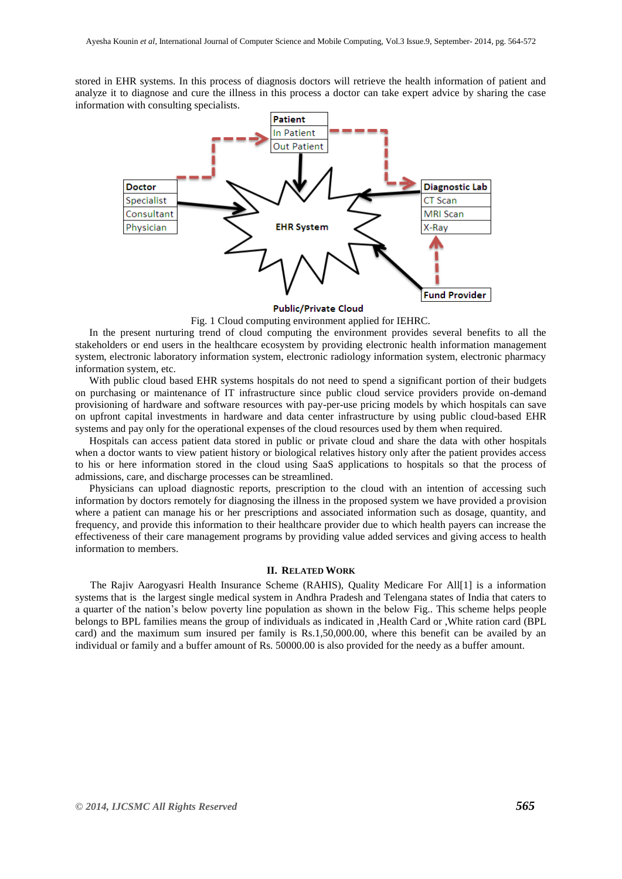stored in EHR systems. In this process of diagnosis doctors will retrieve the health information of patient and analyze it to diagnose and cure the illness in this process a doctor can take expert advice by sharing the case information with consulting specialists.



**Public/Private Cloud** 

Fig. 1 Cloud computing environment applied for IEHRC.

In the present nurturing trend of cloud computing the environment provides several benefits to all the stakeholders or end users in the healthcare ecosystem by providing electronic health information management system, electronic laboratory information system, electronic radiology information system, electronic pharmacy information system, etc.

With public cloud based EHR systems hospitals do not need to spend a significant portion of their budgets on purchasing or maintenance of IT infrastructure since public cloud service providers provide on-demand provisioning of hardware and software resources with pay-per-use pricing models by which hospitals can save on upfront capital investments in hardware and data center infrastructure by using public cloud-based EHR systems and pay only for the operational expenses of the cloud resources used by them when required.

Hospitals can access patient data stored in public or private cloud and share the data with other hospitals when a doctor wants to view patient history or biological relatives history only after the patient provides access to his or here information stored in the cloud using SaaS applications to hospitals so that the process of admissions, care, and discharge processes can be streamlined.

Physicians can upload diagnostic reports, prescription to the cloud with an intention of accessing such information by doctors remotely for diagnosing the illness in the proposed system we have provided a provision where a patient can manage his or her prescriptions and associated information such as dosage, quantity, and frequency, and provide this information to their healthcare provider due to which health payers can increase the effectiveness of their care management programs by providing value added services and giving access to health information to members.

#### **II. RELATED WORK**

The Rajiv Aarogyasri Health Insurance Scheme (RAHIS), Quality Medicare For All[1] is a information systems that is the largest single medical system in Andhra Pradesh and Telengana states of India that caters to a quarter of the nation's below poverty line population as shown in the below Fig.. This scheme helps people belongs to BPL families means the group of individuals as indicated in ,Health Card or ,White ration card (BPL card) and the maximum sum insured per family is Rs.1,50,000.00, where this benefit can be availed by an individual or family and a buffer amount of Rs. 50000.00 is also provided for the needy as a buffer amount.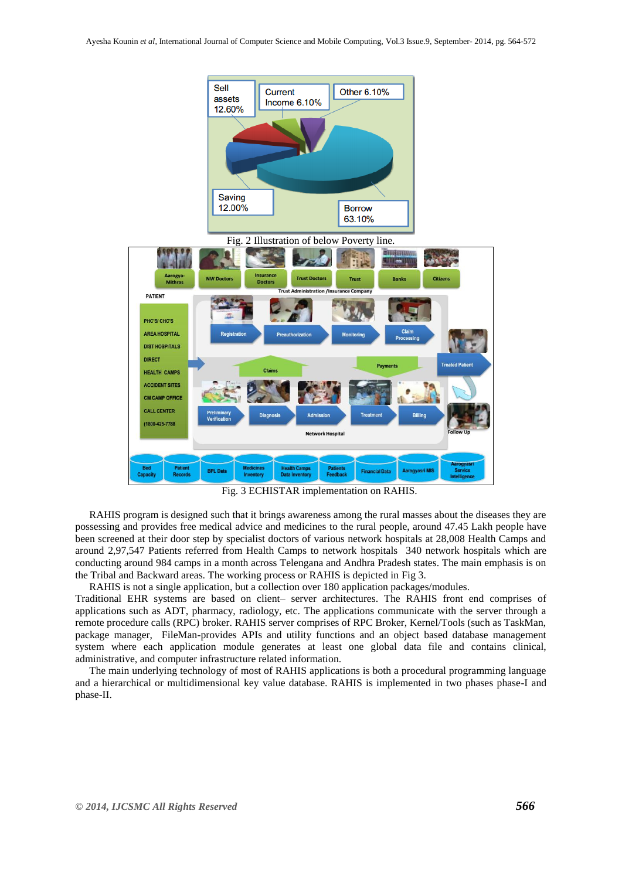

Fig. 3 ECHISTAR implementation on RAHIS.

RAHIS program is designed such that it brings awareness among the rural masses about the diseases they are possessing and provides free medical advice and medicines to the rural people, around 47.45 Lakh people have been screened at their door step by specialist doctors of various network hospitals at 28,008 Health Camps and around 2,97,547 Patients referred from Health Camps to network hospitals 340 network hospitals which are conducting around 984 camps in a month across Telengana and Andhra Pradesh states. The main emphasis is on the Tribal and Backward areas. The working process or RAHIS is depicted in Fig 3.

RAHIS is not a single application, but a collection over 180 application packages/modules.

Traditional EHR systems are based on client– server architectures. The RAHIS front end comprises of applications such as ADT, pharmacy, radiology, etc. The applications communicate with the server through a remote procedure calls (RPC) broker. RAHIS server comprises of RPC Broker, Kernel/Tools (such as TaskMan, package manager, FileMan-provides APIs and utility functions and an object based database management system where each application module generates at least one global data file and contains clinical, administrative, and computer infrastructure related information.

The main underlying technology of most of RAHIS applications is both a procedural programming language and a hierarchical or multidimensional key value database. RAHIS is implemented in two phases phase-I and phase-II.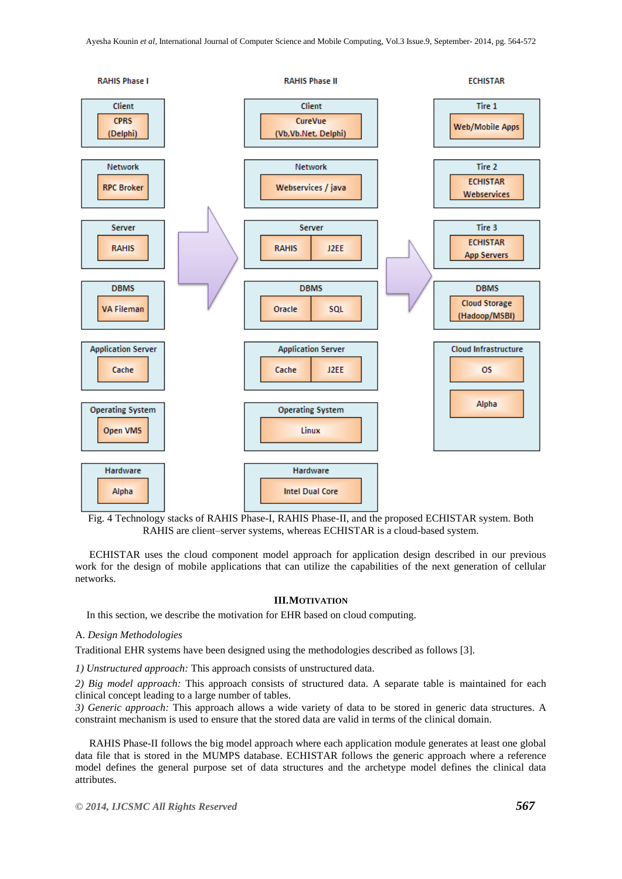

Fig. 4 Technology stacks of RAHIS Phase-I, RAHIS Phase-II, and the proposed ECHISTAR system. Both RAHIS are client–server systems, whereas ECHISTAR is a cloud-based system.

ECHISTAR uses the cloud component model approach for application design described in our previous work for the design of mobile applications that can utilize the capabilities of the next generation of cellular networks.

## **III.MOTIVATION**

In this section, we describe the motivation for EHR based on cloud computing.

## A. *Design Methodologies*

Traditional EHR systems have been designed using the methodologies described as follows [3].

*1) Unstructured approach:* This approach consists of unstructured data.

*2) Big model approach:* This approach consists of structured data. A separate table is maintained for each clinical concept leading to a large number of tables.

*3) Generic approach:* This approach allows a wide variety of data to be stored in generic data structures. A constraint mechanism is used to ensure that the stored data are valid in terms of the clinical domain.

RAHIS Phase-II follows the big model approach where each application module generates at least one global data file that is stored in the MUMPS database. ECHISTAR follows the generic approach where a reference model defines the general purpose set of data structures and the archetype model defines the clinical data attributes.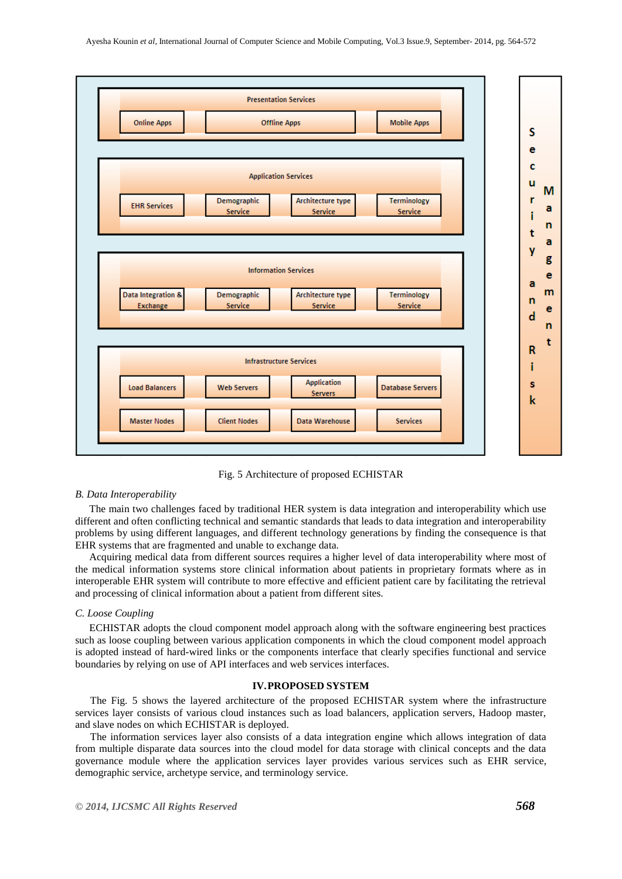

Fig. 5 Architecture of proposed ECHISTAR

#### *B. Data Interoperability*

The main two challenges faced by traditional HER system is data integration and interoperability which use different and often conflicting technical and semantic standards that leads to data integration and interoperability problems by using different languages, and different technology generations by finding the consequence is that EHR systems that are fragmented and unable to exchange data.

Acquiring medical data from different sources requires a higher level of data interoperability where most of the medical information systems store clinical information about patients in proprietary formats where as in interoperable EHR system will contribute to more effective and efficient patient care by facilitating the retrieval and processing of clinical information about a patient from different sites.

#### *C. Loose Coupling*

ECHISTAR adopts the cloud component model approach along with the software engineering best practices such as loose coupling between various application components in which the cloud component model approach is adopted instead of hard-wired links or the components interface that clearly specifies functional and service boundaries by relying on use of API interfaces and web services interfaces.

# **IV.PROPOSED SYSTEM**

The Fig. 5 shows the layered architecture of the proposed ECHISTAR system where the infrastructure services layer consists of various cloud instances such as load balancers, application servers, Hadoop master, and slave nodes on which ECHISTAR is deployed.

The information services layer also consists of a data integration engine which allows integration of data from multiple disparate data sources into the cloud model for data storage with clinical concepts and the data governance module where the application services layer provides various services such as EHR service, demographic service, archetype service, and terminology service.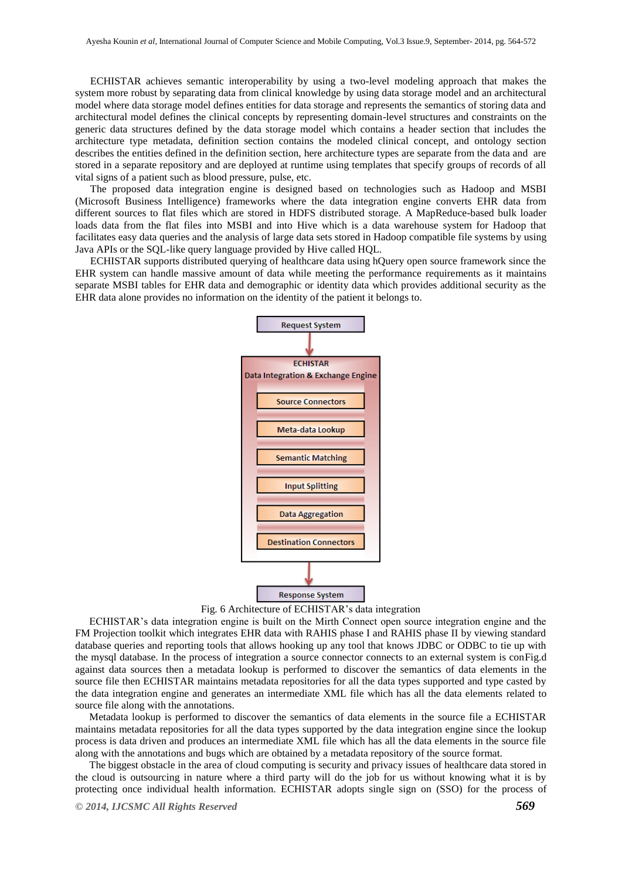ECHISTAR achieves semantic interoperability by using a two-level modeling approach that makes the system more robust by separating data from clinical knowledge by using data storage model and an architectural model where data storage model defines entities for data storage and represents the semantics of storing data and architectural model defines the clinical concepts by representing domain-level structures and constraints on the generic data structures defined by the data storage model which contains a header section that includes the architecture type metadata, definition section contains the modeled clinical concept, and ontology section describes the entities defined in the definition section, here architecture types are separate from the data and are stored in a separate repository and are deployed at runtime using templates that specify groups of records of all vital signs of a patient such as blood pressure, pulse, etc.

The proposed data integration engine is designed based on technologies such as Hadoop and MSBI (Microsoft Business Intelligence) frameworks where the data integration engine converts EHR data from different sources to flat files which are stored in HDFS distributed storage. A MapReduce-based bulk loader loads data from the flat files into MSBI and into Hive which is a data warehouse system for Hadoop that facilitates easy data queries and the analysis of large data sets stored in Hadoop compatible file systems by using Java APIs or the SQL-like query language provided by Hive called HQL.

ECHISTAR supports distributed querying of healthcare data using hQuery open source framework since the EHR system can handle massive amount of data while meeting the performance requirements as it maintains separate MSBI tables for EHR data and demographic or identity data which provides additional security as the EHR data alone provides no information on the identity of the patient it belongs to.



Fig. 6 Architecture of ECHISTAR's data integration

ECHISTAR's data integration engine is built on the Mirth Connect open source integration engine and the FM Projection toolkit which integrates EHR data with RAHIS phase I and RAHIS phase II by viewing standard database queries and reporting tools that allows hooking up any tool that knows JDBC or ODBC to tie up with the mysql database. In the process of integration a source connector connects to an external system is conFig.d against data sources then a metadata lookup is performed to discover the semantics of data elements in the source file then ECHISTAR maintains metadata repositories for all the data types supported and type casted by the data integration engine and generates an intermediate XML file which has all the data elements related to source file along with the annotations.

Metadata lookup is performed to discover the semantics of data elements in the source file a ECHISTAR maintains metadata repositories for all the data types supported by the data integration engine since the lookup process is data driven and produces an intermediate XML file which has all the data elements in the source file along with the annotations and bugs which are obtained by a metadata repository of the source format.

The biggest obstacle in the area of cloud computing is security and privacy issues of healthcare data stored in the cloud is outsourcing in nature where a third party will do the job for us without knowing what it is by protecting once individual health information. ECHISTAR adopts single sign on (SSO) for the process of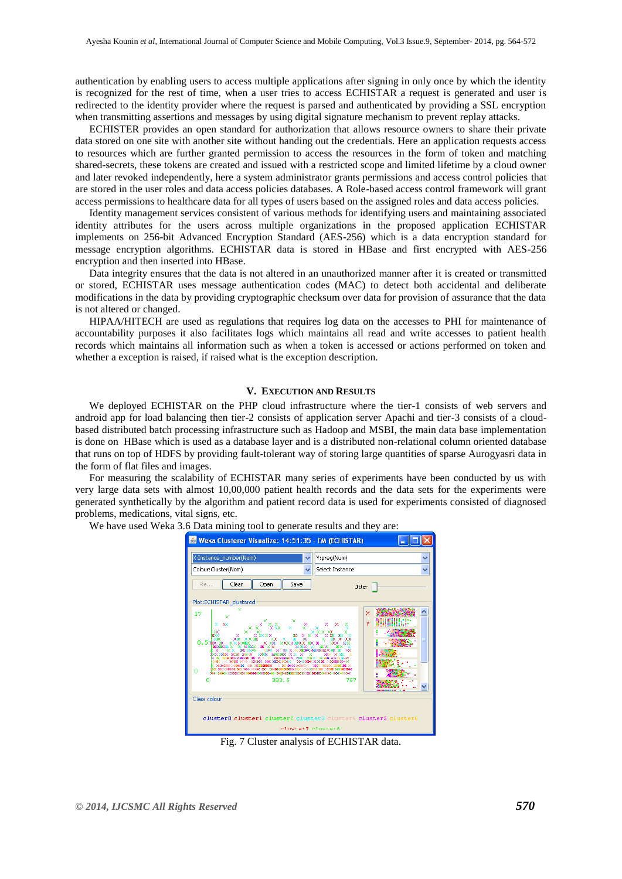authentication by enabling users to access multiple applications after signing in only once by which the identity is recognized for the rest of time, when a user tries to access ECHISTAR a request is generated and user is redirected to the identity provider where the request is parsed and authenticated by providing a SSL encryption when transmitting assertions and messages by using digital signature mechanism to prevent replay attacks.

ECHISTER provides an open standard for authorization that allows resource owners to share their private data stored on one site with another site without handing out the credentials. Here an application requests access to resources which are further granted permission to access the resources in the form of token and matching shared-secrets, these tokens are created and issued with a restricted scope and limited lifetime by a cloud owner and later revoked independently, here a system administrator grants permissions and access control policies that are stored in the user roles and data access policies databases. A Role-based access control framework will grant access permissions to healthcare data for all types of users based on the assigned roles and data access policies.

Identity management services consistent of various methods for identifying users and maintaining associated identity attributes for the users across multiple organizations in the proposed application ECHISTAR implements on 256-bit Advanced Encryption Standard (AES-256) which is a data encryption standard for message encryption algorithms. ECHISTAR data is stored in HBase and first encrypted with AES-256 encryption and then inserted into HBase.

Data integrity ensures that the data is not altered in an unauthorized manner after it is created or transmitted or stored, ECHISTAR uses message authentication codes (MAC) to detect both accidental and deliberate modifications in the data by providing cryptographic checksum over data for provision of assurance that the data is not altered or changed.

HIPAA/HITECH are used as regulations that requires log data on the accesses to PHI for maintenance of accountability purposes it also facilitates logs which maintains all read and write accesses to patient health records which maintains all information such as when a token is accessed or actions performed on token and whether a exception is raised, if raised what is the exception description.

#### **V. EXECUTION AND RESULTS**

We deployed ECHISTAR on the PHP cloud infrastructure where the tier-1 consists of web servers and android app for load balancing then tier-2 consists of application server Apachi and tier-3 consists of a cloudbased distributed batch processing infrastructure such as Hadoop and MSBI, the main data base implementation is done on HBase which is used as a database layer and is a distributed non-relational column oriented database that runs on top of HDFS by providing fault-tolerant way of storing large quantities of sparse Aurogyasri data in the form of flat files and images.

For measuring the scalability of ECHISTAR many series of experiments have been conducted by us with very large data sets with almost 10,00,000 patient health records and the data sets for the experiments were generated synthetically by the algorithm and patient record data is used for experiments consisted of diagnosed problems, medications, vital signs, etc.

We have used Weka 3.6 Data mining tool to generate results and they are:



Fig. 7 Cluster analysis of ECHISTAR data.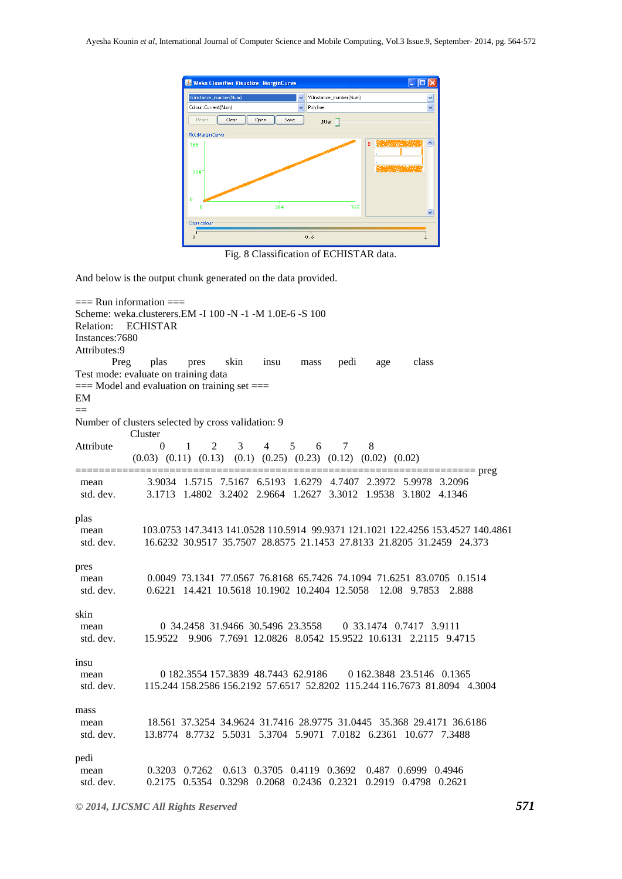| Weka Classifier Visualize: MarginCurve |                                |
|----------------------------------------|--------------------------------|
| X:Instance_number(Num)<br>v            | Ÿ<br>Y:Instance_number(Num)    |
| Colour:Current(Num)<br>$\checkmark$    | $\ddotmark$<br>Polyline        |
| Clear<br>Save<br>Reset<br>Open         | <b>Jitter</b>                  |
| Plot:MarginCurve                       |                                |
| 768                                    | <b>SAMARINA ACA</b><br>B<br>Ą  |
| 3841                                   |                                |
| n<br>384<br>n                          | 768<br>$\overline{\mathbf{v}}$ |
| Class colour                           |                                |
| $\overline{0}$                         | 0.5                            |

Fig. 8 Classification of ECHISTAR data.

And below is the output chunk generated on the data provided.

```
== Run information ==Scheme: weka.clusterers.EM -I 100 -N -1 -M 1.0E-6 -S 100
Relation: ECHISTAR
Instances:7680
Attributes:9
 Preg plas pres skin insu mass pedi age class
Test mode: evaluate on training data
== Model and evaluation on training set ==EM
==
Number of clusters selected by cross validation: 9
           Cluster
Attribute 0 1 2 3 4 5 6 7 8
           (0.03) (0.11) (0.13) (0.1) (0.25) (0.23) (0.12) (0.02) (0.02)
==================================================================== preg
 mean 3.9034 1.5715 7.5167 6.5193 1.6279 4.7407 2.3972 5.9978 3.2096
 std. dev. 3.1713 1.4802 3.2402 2.9664 1.2627 3.3012 1.9538 3.1802 4.1346
plas
 mean 103.0753 147.3413 141.0528 110.5914 99.9371 121.1021 122.4256 153.4527 140.4861
 std. dev. 16.6232 30.9517 35.7507 28.8575 21.1453 27.8133 21.8205 31.2459 24.373
pres
 mean 0.0049 73.1341 77.0567 76.8168 65.7426 74.1094 71.6251 83.0705 0.1514
 std. dev. 0.6221 14.421 10.5618 10.1902 10.2404 12.5058 12.08 9.7853 2.888
skin
 mean 0 34.2458 31.9466 30.5496 23.3558 0 33.1474 0.7417 3.9111
 std. dev. 15.9522 9.906 7.7691 12.0826 8.0542 15.9522 10.6131 2.2115 9.4715
insu
mean 0 182.3554 157.3839 48.7443 62.9186 0 162.3848 23.5146 0 1365
 std. dev. 115.244 158.2586 156.2192 57.6517 52.8202 115.244 116.7673 81.8094 4.3004
mass
 mean 18.561 37.3254 34.9624 31.7416 28.9775 31.0445 35.368 29.4171 36.6186
 std. dev. 13.8774 8.7732 5.5031 5.3704 5.9071 7.0182 6.2361 10.677 7.3488
pedi
 mean 0.3203 0.7262 0.613 0.3705 0.4119 0.3692 0.487 0.6999 0.4946
 std. dev. 0.2175 0.5354 0.3298 0.2068 0.2436 0.2321 0.2919 0.4798 0.2621
```